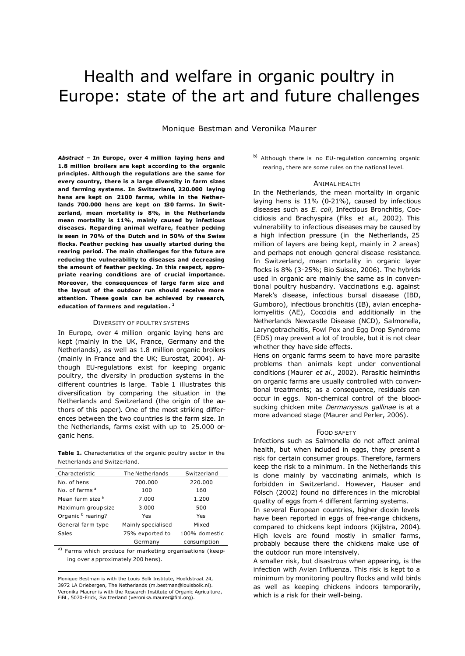# Health and welfare in organic poultry in Europe: state of the art and future challenges

Monique Bestman and Veronika Maurer

*Abstract –* **In Europe, over 4 million laying hens and 1.8 million broilers are kept according to the organic principles. Although the regulations are the same for every country, there is a large diversity in farm sizes and farming systems. In Switzerland, 220.000 laying hens are kept on 2100 farms, while in the Netherlands 700.000 hens are kept on 130 farms. In Switzerland, mean mortality is 8%, in the Netherlands mean mortality is 11%, mainly caused by infectious diseases. Regarding animal welfare, feather pecking is seen in 70% of the Dutch and in 50% of the Swiss flocks. Feather pecking has usually started during the rearing period. The main challenges for the future are reducing the vulnerability to diseases and decreasing the amount of feather pecking. In this respect, appropriate rearing conditions are of crucial importance. Moreover, the consequences of large farm size and the layout of the outdoor run should receive more attention. These goals can be achieved by research, education of farmers and regulation. 1**

## DIVERSITY OF POULTRY SYSTEMS

In Europe, over 4 million organic laying hens are kept (mainly in the UK, France, Germany and the Netherlands), as well as 1.8 million organic broilers (mainly in France and the UK; Eurostat, 2004). Although EU-regulations exist for keeping organic poultry, the diversity in production systems in the different countries is large. Table 1 illustrates this diversification by comparing the situation in the Netherlands and Switzerland (the origin of the authors of this paper). One of the most striking differences between the two countries is the farm size. In the Netherlands, farms exist with up to 25.000 organic hens.

**Table 1.** Characteristics of the organic poultry sector in the Netherlands and Switzerland.

| Characteristic                | The Netherlands    | Switzerland   |
|-------------------------------|--------------------|---------------|
| No. of hens                   | 700.000            | 220.000       |
| No. of farms <sup>a</sup>     | 100                | 160           |
| Mean farm size <sup>a</sup>   | 7.000              | 1.200         |
| Maximum group size            | 3.000              | 500           |
| Organic <sup>b</sup> rearing? | Yes                | Yes           |
| General farm type             | Mainly specialised | Mixed         |
| Sales                         | 75% exported to    | 100% domestic |
|                               | Germany            | consumption   |

<sup>a)</sup> Farms which produce for marketing organisations (keeping over approximately 200 hens).

Monique Bestman is with the Louis Bolk Institute, Hoofdstraat 24, 3972 LA Driebergen, The Netherlands (m.bestman@louisbolk.nl). Veronika Maurer is with the Research Institute of Organic Agriculture, FiBL, 5070-Frick, Switzerland (veronika.maurer@fibl.org).

 $\overline{a}$ 

b) Although there is no EU-regulation concerning organic rearing, there are some rules on the national level.

# ANIMAL HEALTH

In the Netherlands, the mean mortality in organic laying hens is 11% (0-21%), caused by infectious diseases such as *E. coli*, Infectious Bronchitis, Coccidiosis and Brachyspira (Fiks *et al*., 2002). This vulnerability to infectious diseases may be caused by a high infection pressure (in the Netherlands, 25 million of layers are being kept, mainly in 2 areas) and perhaps not enough general disease resistance. In Switzerland, mean mortality in organic layer flocks is 8% (3-25%; Bio Suisse, 2006). The hybrids used in organic are mainly the same as in conventional poultry husbandry. Vaccinations e.g. against Marek's disease, infectious bursal disaease (IBD, Gumboro), infectious bronchitis (IB), avian encephalomyelitis (AE), Coccidia and additionally in the Netherlands Newcastle Disease (NCD), Salmonella, Laryngotracheitis, Fowl Pox and Egg Drop Syndrome (EDS) may prevent a lot of trouble, but it is not clear whether they have side effects.

Hens on organic farms seem to have more parasite problems than animals kept under conventional conditions (Maurer *et al*., 2002). Parasitic helminths on organic farms are usually controlled with conventional treatments; as a consequence, residuals can occur in eggs. Non-chemical control of the bloodsucking chicken mite *Dermanyssus gallinae* is at a more advanced stage (Maurer and Perler, 2006).

### FOOD SAFETY

Infections such as Salmonella do not affect animal health, but when included in eggs, they present a risk for certain consumer groups. Therefore, farmers keep the risk to a minimum. In the Netherlands this is done mainly by vaccinating animals, which is forbidden in Switzerland. However, Hauser and Fölsch (2002) found no differences in the microbial quality of eggs from 4 different farming systems.

In several European countries, higher dioxin levels have been reported in eggs of free-range chickens, compared to chickens kept indoors (Kijlstra, 2004). High levels are found mostly in smaller farms, probably because there the chickens make use of the outdoor run more intensively.

A smaller risk, but disastrous when appearing, is the infection with Avian Influenza. This risk is kept to a minimum by monitoring poultry flocks and wild birds as well as keeping chickens indoors temporarily, which is a risk for their well-being.